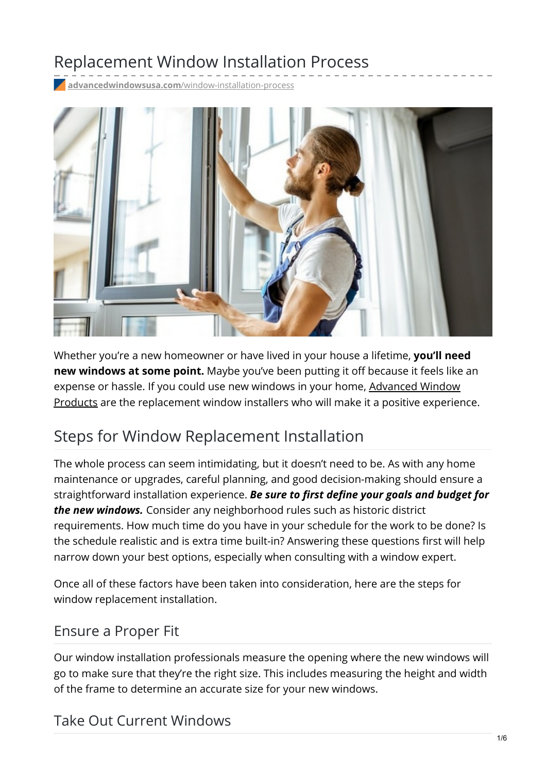# Replacement Window Installation Process

**advancedwindowsusa.com**[/window-installation-process](https://advancedwindowsusa.com/window-installation-process)



Whether you're a new homeowner or have lived in your house a lifetime, **you'll need new windows at some point.** Maybe you've been putting it off because it feels like an expense or hassle. If you could use new windows in your home, Advanced Window Products are the [replacement](https://advancedwindowsusa.com/) window installers who will make it a positive experience.

# Steps for Window Replacement Installation

The whole process can seem intimidating, but it doesn't need to be. As with any home maintenance or upgrades, careful planning, and good decision-making should ensure a straightforward installation experience. *Be sure to first define your goals and budget for the new windows.* Consider any neighborhood rules such as historic district requirements. How much time do you have in your schedule for the work to be done? Is the schedule realistic and is extra time built-in? Answering these questions first will help narrow down your best options, especially when consulting with a window expert.

Once all of these factors have been taken into consideration, here are the steps for window replacement installation.

### Ensure a Proper Fit

Our window installation professionals measure the opening where the new windows will go to make sure that they're the right size. This includes measuring the height and width of the frame to determine an accurate size for your new windows.

## Take Out Current Windows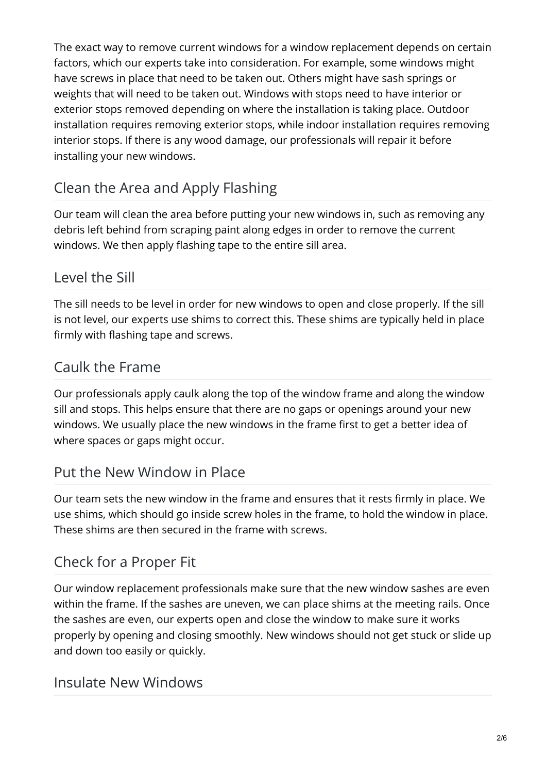The exact way to remove current windows for a window replacement depends on certain factors, which our experts take into consideration. For example, some windows might have screws in place that need to be taken out. Others might have sash springs or weights that will need to be taken out. Windows with stops need to have interior or exterior stops removed depending on where the installation is taking place. Outdoor installation requires removing exterior stops, while indoor installation requires removing interior stops. If there is any wood damage, our professionals will repair it before installing your new windows.

## Clean the Area and Apply Flashing

Our team will clean the area before putting your new windows in, such as removing any debris left behind from scraping paint along edges in order to remove the current windows. We then apply flashing tape to the entire sill area.

### Level the Sill

The sill needs to be level in order for new windows to open and close properly. If the sill is not level, our experts use shims to correct this. These shims are typically held in place firmly with flashing tape and screws.

### Caulk the Frame

Our professionals apply caulk along the top of the window frame and along the window sill and stops. This helps ensure that there are no gaps or openings around your new windows. We usually place the new windows in the frame first to get a better idea of where spaces or gaps might occur.

## Put the New Window in Place

Our team sets the new window in the frame and ensures that it rests firmly in place. We use shims, which should go inside screw holes in the frame, to hold the window in place. These shims are then secured in the frame with screws.

## Check for a Proper Fit

Our window replacement professionals make sure that the new window sashes are even within the frame. If the sashes are uneven, we can place shims at the meeting rails. Once the sashes are even, our experts open and close the window to make sure it works properly by opening and closing smoothly. New windows should not get stuck or slide up and down too easily or quickly.

### Insulate New Windows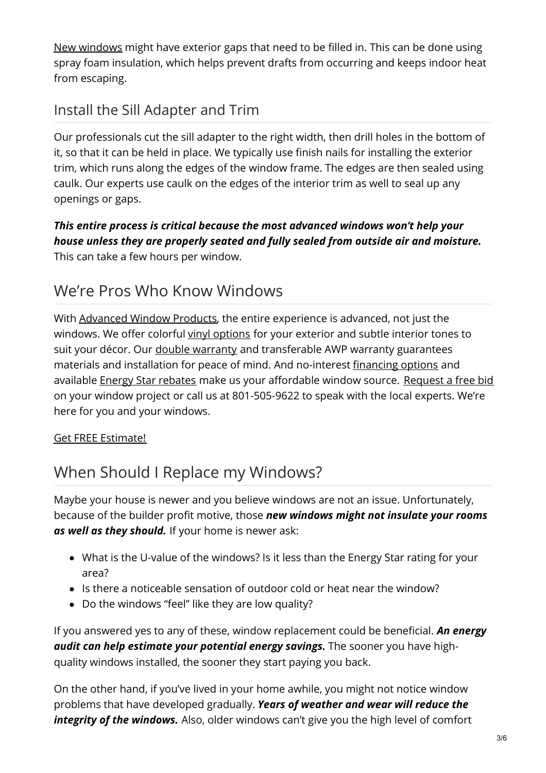New [windows](https://advancedwindowsusa.com/windows) might have exterior gaps that need to be filled in. This can be done using spray foam insulation, which helps prevent drafts from occurring and keeps indoor heat from escaping.

## Install the Sill Adapter and Trim

Our professionals cut the sill adapter to the right width, then drill holes in the bottom of it, so that it can be held in place. We typically use finish nails for installing the exterior trim, which runs along the edges of the window frame. The edges are then sealed using caulk. Our experts use caulk on the edges of the interior trim as well to seal up any openings or gaps.

*This entire process is critical because the most advanced windows won't help your house unless they are properly seated and fully sealed from outside air and moisture.* This can take a few hours per window.

## We're Pros Who Know Windows

With [Advanced](https://advancedwindowsusa.com/) Window Products, the entire experience is advanced, not just the windows. We offer colorful vinyl [options](https://advancedwindowsusa.com/vinyl-siding) for your exterior and subtle interior tones to suit your décor. Our *double [warranty](https://advancedwindowsusa.com/double-lifetime-warranty)* and transferable AWP warranty guarantees materials and installation for peace of mind. And no-interest [financing](https://advancedwindowsusa.com/home-improvement-financing) options and available Energy Star [rebates](https://advancedwindowsusa.com/rebates) make us your affordable window source. [Request](https://advancedwindowsusa.com/contact-us) a free bid on your window project or call us at 801-505-9622 to speak with the local experts. We're here for you and your windows.

#### Get FREE [Estimate!](tel:8015059622)

# When Should I Replace my Windows?

Maybe your house is newer and you believe windows are not an issue. Unfortunately, because of the builder profit motive, those *new windows might not insulate your rooms as well as they should.* If your home is newer ask:

- What is the U-value of the windows? Is it less than the Energy Star rating for your area?
- Is there a noticeable sensation of outdoor cold or heat near the window?
- Do the windows "feel" like they are low quality?

If you answered yes to any of these, window replacement could be beneficial. *An energy audit can help estimate your potential energy savings.* The sooner you have highquality windows installed, the sooner they start paying you back.

On the other hand, if you've lived in your home awhile, you might not notice window problems that have developed gradually. *Years of weather and wear will reduce the integrity of the windows.* Also, older windows can't give you the high level of comfort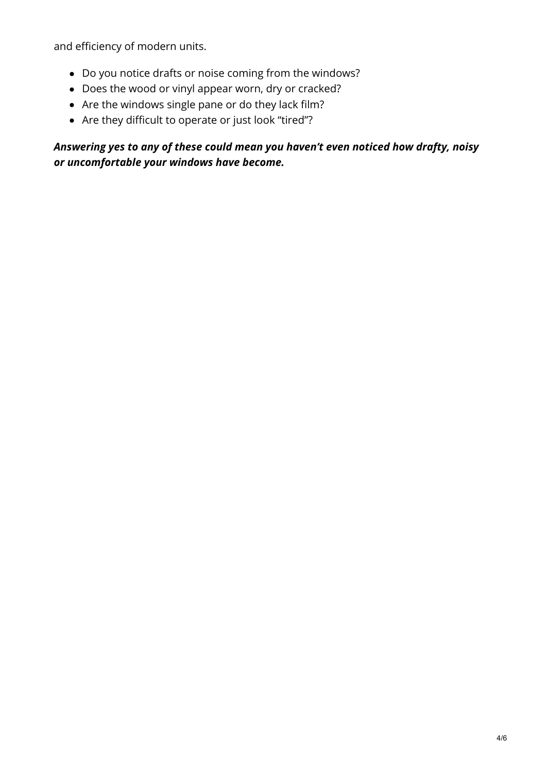and efficiency of modern units.

- Do you notice drafts or noise coming from the windows?
- Does the wood or vinyl appear worn, dry or cracked?
- Are the windows single pane or do they lack film?
- Are they difficult to operate or just look "tired"?

#### *Answering yes to any of these could mean you haven't even noticed how drafty, noisy or uncomfortable your windows have become.*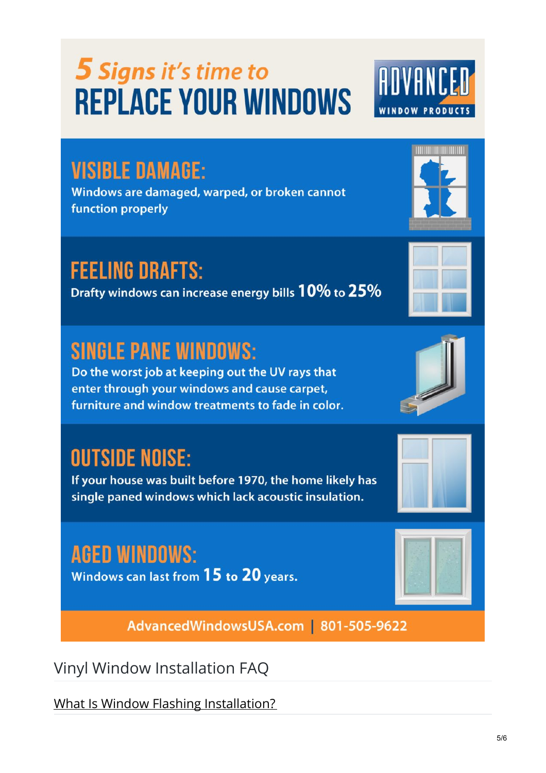# **5 Signs it's time to REPLACE YOUR WINDOWS**

# **VISIBLE DAMAGE:**

Windows are damaged, warped, or broken cannot function properly

# **FEELING DRAFTS:**

Drafty windows can increase energy bills 10% to 25%

# **SINGLE PANE WINDOWS:**

Do the worst job at keeping out the UV rays that enter through your windows and cause carpet, furniture and window treatments to fade in color.

# **OUTSIDE NOISE:**

If your house was built before 1970, the home likely has single paned windows which lack acoustic insulation.

# **AGED WINDOWS:**

Windows can last from 15 to 20 years.

AdvancedWindowsUSA.com | 801-505-9622

Vinyl Window Installation FAQ

What Is Window Flashing Installation?









**TOO TOO TOO TALE OF THE T**